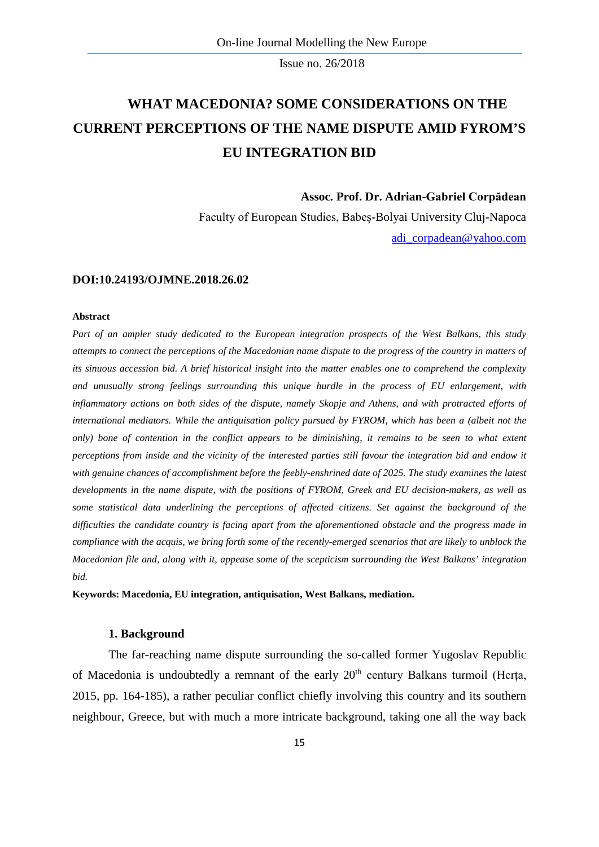# **WHAT MACEDONIA? SOME CONSIDERATIONS ON THE CURRENT PERCEPTIONS OF THE NAME DISPUTE AMID FYROM'S EU INTEGRATION BID**

**Assoc. Prof. Dr. Adrian-Gabriel Corpădean**

Faculty of European Studies, Babeș-Bolyai University Cluj-Napoca [adi\\_corpadean@yahoo.com](mailto:adi_corpadean@yahoo.com)

#### **DOI:10.24193/OJMNE.2018.26.02**

#### **Abstract**

*Part of an ampler study dedicated to the European integration prospects of the West Balkans, this study attempts to connect the perceptions of the Macedonian name dispute to the progress of the country in matters of its sinuous accession bid. A brief historical insight into the matter enables one to comprehend the complexity and unusually strong feelings surrounding this unique hurdle in the process of EU enlargement, with inflammatory actions on both sides of the dispute, namely Skopje and Athens, and with protracted efforts of international mediators. While the antiquisation policy pursued by FYROM, which has been a (albeit not the only) bone of contention in the conflict appears to be diminishing, it remains to be seen to what extent perceptions from inside and the vicinity of the interested parties still favour the integration bid and endow it* with genuine chances of accomplishment before the feebly-enshrined date of 2025. The study examines the latest *developments in the name dispute, with the positions of FYROM, Greek and EU decision-makers, as well as some statistical data underlining the perceptions of affected citizens. Set against the background of the difficulties the candidate country is facing apart from the aforementioned obstacle and the progress made in compliance with the acquis, we bring forth some of the recently-emerged scenarios that are likely to unblock the Macedonian file and, along with it, appease some of the scepticism surrounding the West Balkans' integration bid.*

**Keywords: Macedonia, EU integration, antiquisation, West Balkans, mediation.**

# **1. Background**

The far-reaching name dispute surrounding the so-called former Yugoslav Republic of Macedonia is undoubtedly a remnant of the early  $20<sup>th</sup>$  century Balkans turmoil (Herta, 2015, pp. 164-185), a rather peculiar conflict chiefly involving this country and its southern neighbour, Greece, but with much a more intricate background, taking one all the way back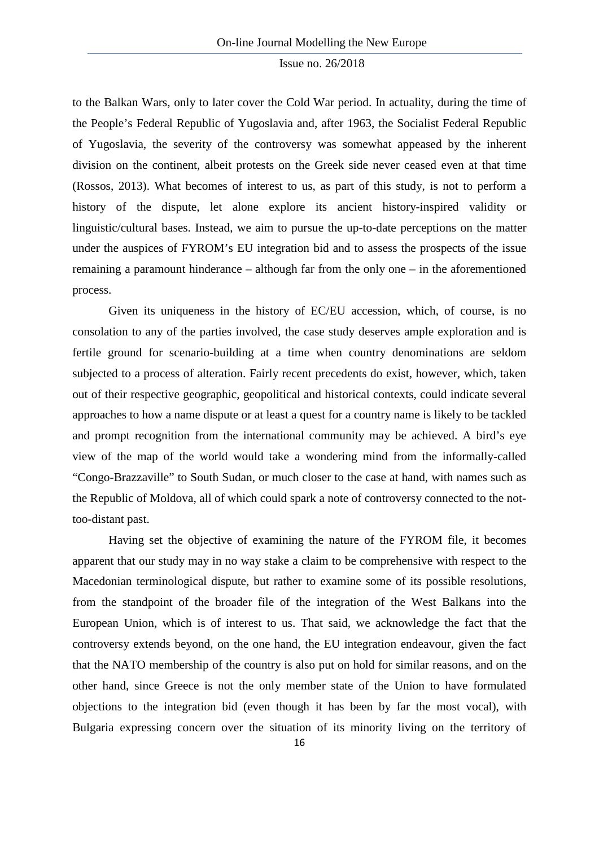to the Balkan Wars, only to later cover the Cold War period. In actuality, during the time of the People's Federal Republic of Yugoslavia and, after 1963, the Socialist Federal Republic of Yugoslavia, the severity of the controversy was somewhat appeased by the inherent division on the continent, albeit protests on the Greek side never ceased even at that time (Rossos, 2013). What becomes of interest to us, as part of this study, is not to perform a history of the dispute, let alone explore its ancient history-inspired validity or linguistic/cultural bases. Instead, we aim to pursue the up-to-date perceptions on the matter under the auspices of FYROM's EU integration bid and to assess the prospects of the issue remaining a paramount hinderance – although far from the only one – in the aforementioned process.

Given its uniqueness in the history of EC/EU accession, which, of course, is no consolation to any of the parties involved, the case study deserves ample exploration and is fertile ground for scenario-building at a time when country denominations are seldom subjected to a process of alteration. Fairly recent precedents do exist, however, which, taken out of their respective geographic, geopolitical and historical contexts, could indicate several approaches to how a name dispute or at least a quest for a country name is likely to be tackled and prompt recognition from the international community may be achieved. A bird's eye view of the map of the world would take a wondering mind from the informally-called "Congo-Brazzaville" to South Sudan, or much closer to the case at hand, with names such as the Republic of Moldova, all of which could spark a note of controversy connected to the nottoo-distant past.

Having set the objective of examining the nature of the FYROM file, it becomes apparent that our study may in no way stake a claim to be comprehensive with respect to the Macedonian terminological dispute, but rather to examine some of its possible resolutions, from the standpoint of the broader file of the integration of the West Balkans into the European Union, which is of interest to us. That said, we acknowledge the fact that the controversy extends beyond, on the one hand, the EU integration endeavour, given the fact that the NATO membership of the country is also put on hold for similar reasons, and on the other hand, since Greece is not the only member state of the Union to have formulated objections to the integration bid (even though it has been by far the most vocal), with Bulgaria expressing concern over the situation of its minority living on the territory of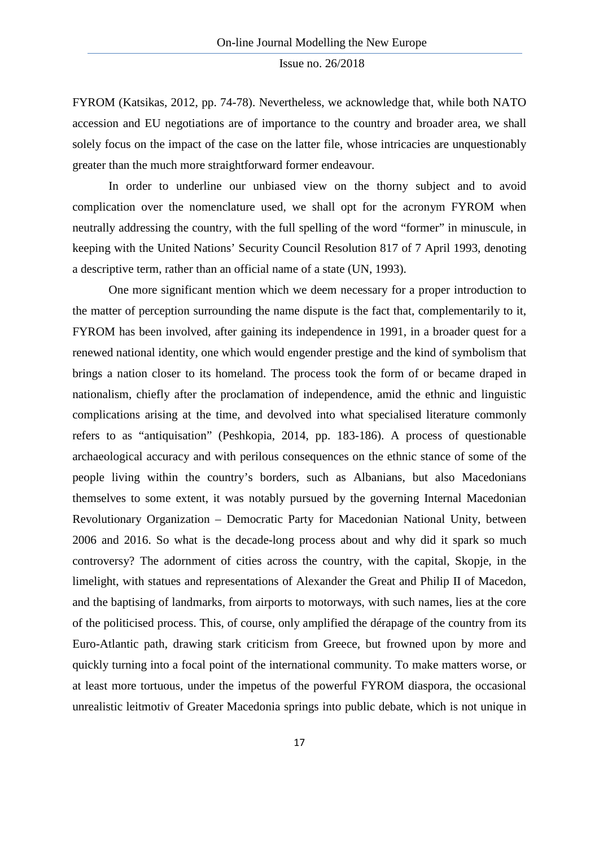FYROM (Katsikas, 2012, pp. 74-78). Nevertheless, we acknowledge that, while both NATO accession and EU negotiations are of importance to the country and broader area, we shall solely focus on the impact of the case on the latter file, whose intricacies are unquestionably greater than the much more straightforward former endeavour.

In order to underline our unbiased view on the thorny subject and to avoid complication over the nomenclature used, we shall opt for the acronym FYROM when neutrally addressing the country, with the full spelling of the word "former" in minuscule, in keeping with the United Nations' Security Council Resolution 817 of 7 April 1993, denoting a descriptive term, rather than an official name of a state (UN, 1993).

One more significant mention which we deem necessary for a proper introduction to the matter of perception surrounding the name dispute is the fact that, complementarily to it, FYROM has been involved, after gaining its independence in 1991, in a broader quest for a renewed national identity, one which would engender prestige and the kind of symbolism that brings a nation closer to its homeland. The process took the form of or became draped in nationalism, chiefly after the proclamation of independence, amid the ethnic and linguistic complications arising at the time, and devolved into what specialised literature commonly refers to as "antiquisation" (Peshkopia, 2014, pp. 183-186). A process of questionable archaeological accuracy and with perilous consequences on the ethnic stance of some of the people living within the country's borders, such as Albanians, but also Macedonians themselves to some extent, it was notably pursued by the governing Internal Macedonian Revolutionary Organization – Democratic Party for Macedonian National Unity, between 2006 and 2016. So what is the decade-long process about and why did it spark so much controversy? The adornment of cities across the country, with the capital, Skopje, in the limelight, with statues and representations of Alexander the Great and Philip II of Macedon, and the baptising of landmarks, from airports to motorways, with such names, lies at the core of the politicised process. This, of course, only amplified the dérapage of the country from its Euro-Atlantic path, drawing stark criticism from Greece, but frowned upon by more and quickly turning into a focal point of the international community. To make matters worse, or at least more tortuous, under the impetus of the powerful FYROM diaspora, the occasional unrealistic leitmotiv of Greater Macedonia springs into public debate, which is not unique in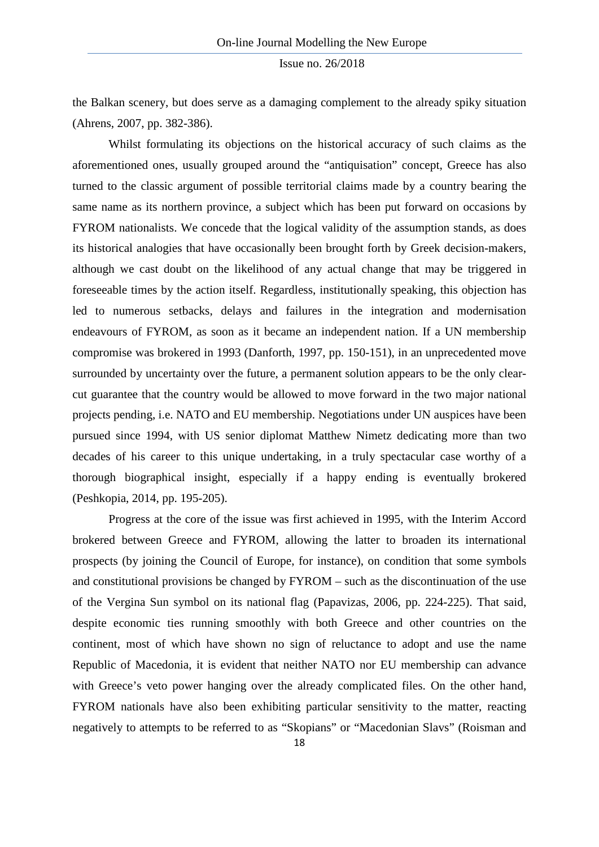the Balkan scenery, but does serve as a damaging complement to the already spiky situation (Ahrens, 2007, pp. 382-386).

Whilst formulating its objections on the historical accuracy of such claims as the aforementioned ones, usually grouped around the "antiquisation" concept, Greece has also turned to the classic argument of possible territorial claims made by a country bearing the same name as its northern province, a subject which has been put forward on occasions by FYROM nationalists. We concede that the logical validity of the assumption stands, as does its historical analogies that have occasionally been brought forth by Greek decision-makers, although we cast doubt on the likelihood of any actual change that may be triggered in foreseeable times by the action itself. Regardless, institutionally speaking, this objection has led to numerous setbacks, delays and failures in the integration and modernisation endeavours of FYROM, as soon as it became an independent nation. If a UN membership compromise was brokered in 1993 (Danforth, 1997, pp. 150-151), in an unprecedented move surrounded by uncertainty over the future, a permanent solution appears to be the only clearcut guarantee that the country would be allowed to move forward in the two major national projects pending, i.e. NATO and EU membership. Negotiations under UN auspices have been pursued since 1994, with US senior diplomat Matthew Nimetz dedicating more than two decades of his career to this unique undertaking, in a truly spectacular case worthy of a thorough biographical insight, especially if a happy ending is eventually brokered (Peshkopia, 2014, pp. 195-205).

Progress at the core of the issue was first achieved in 1995, with the Interim Accord brokered between Greece and FYROM, allowing the latter to broaden its international prospects (by joining the Council of Europe, for instance), on condition that some symbols and constitutional provisions be changed by FYROM – such as the discontinuation of the use of the Vergina Sun symbol on its national flag (Papavizas, 2006, pp. 224-225). That said, despite economic ties running smoothly with both Greece and other countries on the continent, most of which have shown no sign of reluctance to adopt and use the name Republic of Macedonia, it is evident that neither NATO nor EU membership can advance with Greece's veto power hanging over the already complicated files. On the other hand, FYROM nationals have also been exhibiting particular sensitivity to the matter, reacting negatively to attempts to be referred to as "Skopians" or "Macedonian Slavs" (Roisman and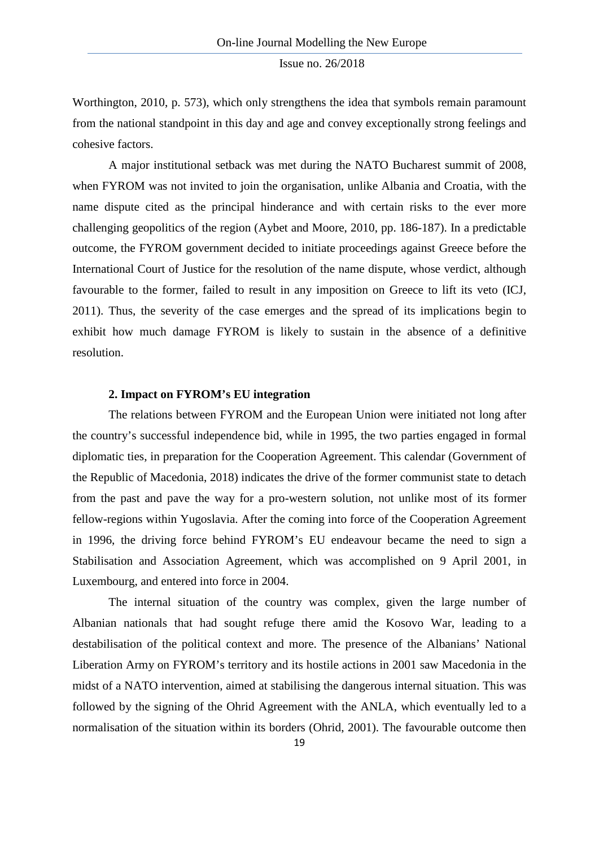Worthington, 2010, p. 573), which only strengthens the idea that symbols remain paramount from the national standpoint in this day and age and convey exceptionally strong feelings and cohesive factors.

A major institutional setback was met during the NATO Bucharest summit of 2008, when FYROM was not invited to join the organisation, unlike Albania and Croatia, with the name dispute cited as the principal hinderance and with certain risks to the ever more challenging geopolitics of the region (Aybet and Moore, 2010, pp. 186-187). In a predictable outcome, the FYROM government decided to initiate proceedings against Greece before the International Court of Justice for the resolution of the name dispute, whose verdict, although favourable to the former, failed to result in any imposition on Greece to lift its veto (ICJ, 2011). Thus, the severity of the case emerges and the spread of its implications begin to exhibit how much damage FYROM is likely to sustain in the absence of a definitive resolution.

#### **2. Impact on FYROM's EU integration**

The relations between FYROM and the European Union were initiated not long after the country's successful independence bid, while in 1995, the two parties engaged in formal diplomatic ties, in preparation for the Cooperation Agreement. This calendar (Government of the Republic of Macedonia, 2018) indicates the drive of the former communist state to detach from the past and pave the way for a pro-western solution, not unlike most of its former fellow-regions within Yugoslavia. After the coming into force of the Cooperation Agreement in 1996, the driving force behind FYROM's EU endeavour became the need to sign a Stabilisation and Association Agreement, which was accomplished on 9 April 2001, in Luxembourg, and entered into force in 2004.

The internal situation of the country was complex, given the large number of Albanian nationals that had sought refuge there amid the Kosovo War, leading to a destabilisation of the political context and more. The presence of the Albanians' National Liberation Army on FYROM's territory and its hostile actions in 2001 saw Macedonia in the midst of a NATO intervention, aimed at stabilising the dangerous internal situation. This was followed by the signing of the Ohrid Agreement with the ANLA, which eventually led to a normalisation of the situation within its borders (Ohrid, 2001). The favourable outcome then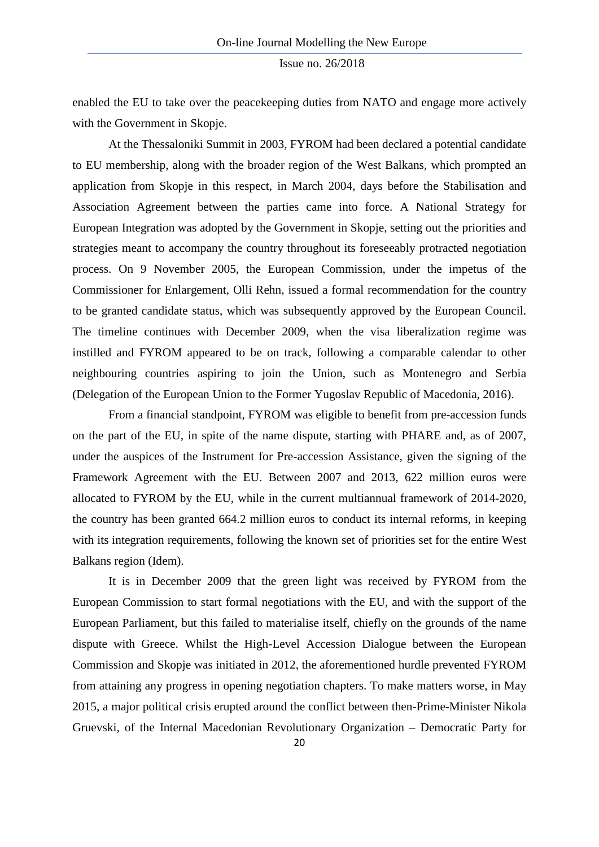enabled the EU to take over the peacekeeping duties from NATO and engage more actively with the Government in Skopje.

At the Thessaloniki Summit in 2003, FYROM had been declared a potential candidate to EU membership, along with the broader region of the West Balkans, which prompted an application from Skopje in this respect, in March 2004, days before the Stabilisation and Association Agreement between the parties came into force. A National Strategy for European Integration was adopted by the Government in Skopje, setting out the priorities and strategies meant to accompany the country throughout its foreseeably protracted negotiation process. On 9 November 2005, the European Commission, under the impetus of the Commissioner for Enlargement, Olli Rehn, issued a formal recommendation for the country to be granted candidate status, which was subsequently approved by the European Council. The timeline continues with December 2009, when the visa liberalization regime was instilled and FYROM appeared to be on track, following a comparable calendar to other neighbouring countries aspiring to join the Union, such as Montenegro and Serbia (Delegation of the European Union to the Former Yugoslav Republic of Macedonia, 2016).

From a financial standpoint, FYROM was eligible to benefit from pre-accession funds on the part of the EU, in spite of the name dispute, starting with PHARE and, as of 2007, under the auspices of the Instrument for Pre-accession Assistance, given the signing of the Framework Agreement with the EU. Between 2007 and 2013, 622 million euros were allocated to FYROM by the EU, while in the current multiannual framework of 2014-2020, the country has been granted 664.2 million euros to conduct its internal reforms, in keeping with its integration requirements, following the known set of priorities set for the entire West Balkans region (Idem).

It is in December 2009 that the green light was received by FYROM from the European Commission to start formal negotiations with the EU, and with the support of the European Parliament, but this failed to materialise itself, chiefly on the grounds of the name dispute with Greece. Whilst the High-Level Accession Dialogue between the European Commission and Skopje was initiated in 2012, the aforementioned hurdle prevented FYROM from attaining any progress in opening negotiation chapters. To make matters worse, in May 2015, a major political crisis erupted around the conflict between then-Prime-Minister Nikola Gruevski, of the Internal Macedonian Revolutionary Organization – Democratic Party for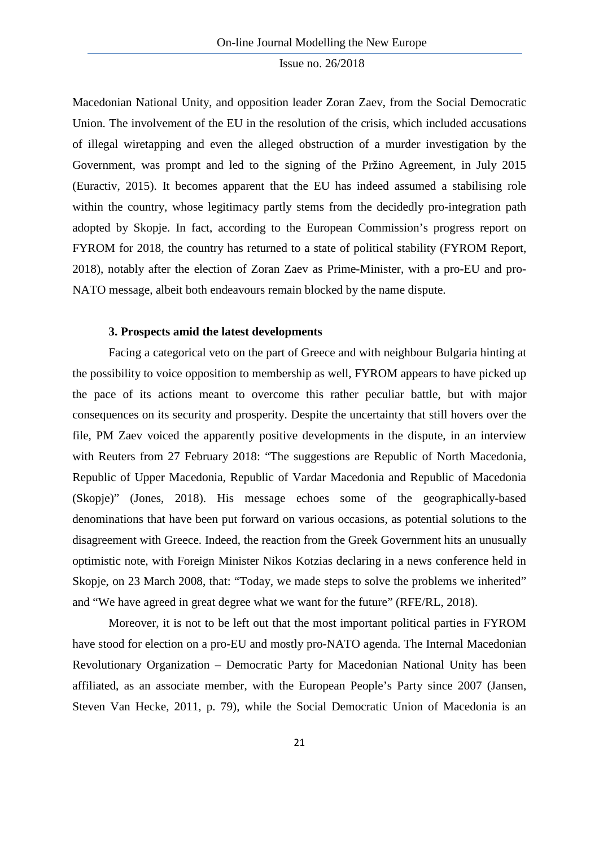Macedonian National Unity, and opposition leader Zoran Zaev, from the Social Democratic Union. The involvement of the EU in the resolution of the crisis, which included accusations of illegal wiretapping and even the alleged obstruction of a murder investigation by the Government, was prompt and led to the signing of the Pržino Agreement, in July 2015 (Euractiv, 2015). It becomes apparent that the EU has indeed assumed a stabilising role within the country, whose legitimacy partly stems from the decidedly pro-integration path adopted by Skopje. In fact, according to the European Commission's progress report on FYROM for 2018, the country has returned to a state of political stability (FYROM Report, 2018), notably after the election of Zoran Zaev as Prime-Minister, with a pro-EU and pro-NATO message, albeit both endeavours remain blocked by the name dispute.

#### **3. Prospects amid the latest developments**

Facing a categorical veto on the part of Greece and with neighbour Bulgaria hinting at the possibility to voice opposition to membership as well, FYROM appears to have picked up the pace of its actions meant to overcome this rather peculiar battle, but with major consequences on its security and prosperity. Despite the uncertainty that still hovers over the file, PM Zaev voiced the apparently positive developments in the dispute, in an interview with Reuters from 27 February 2018: "The suggestions are Republic of North Macedonia, Republic of Upper Macedonia, Republic of Vardar Macedonia and Republic of Macedonia (Skopje)" (Jones, 2018). His message echoes some of the geographically-based denominations that have been put forward on various occasions, as potential solutions to the disagreement with Greece. Indeed, the reaction from the Greek Government hits an unusually optimistic note, with Foreign Minister Nikos Kotzias declaring in a news conference held in Skopje, on 23 March 2008, that: "Today, we made steps to solve the problems we inherited" and "We have agreed in great degree what we want for the future" (RFE/RL, 2018).

Moreover, it is not to be left out that the most important political parties in FYROM have stood for election on a pro-EU and mostly pro-NATO agenda. The Internal Macedonian Revolutionary Organization – Democratic Party for Macedonian National Unity has been affiliated, as an associate member, with the European People's Party since 2007 (Jansen, Steven Van Hecke, 2011, p. 79), while the Social Democratic Union of Macedonia is an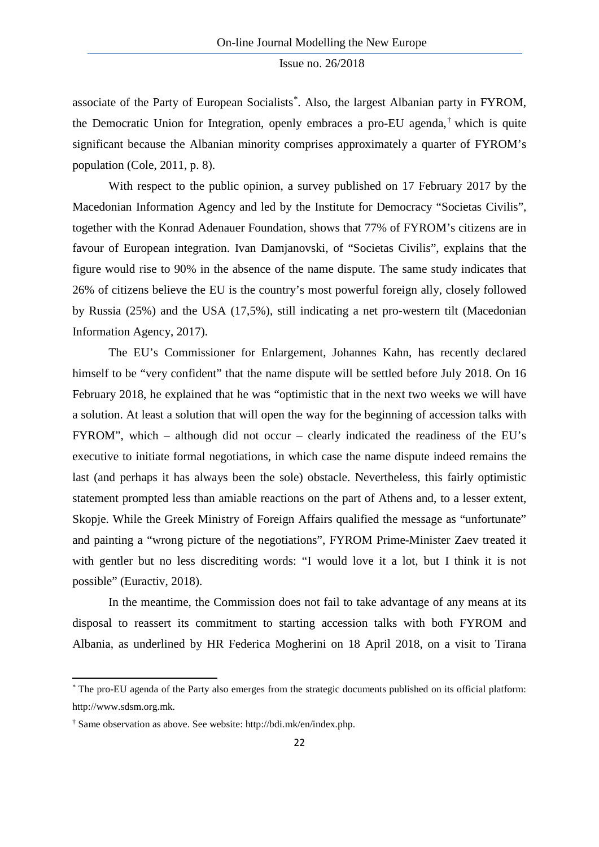associate of the Party of European Socialists[\\*](#page-7-0) . Also, the largest Albanian party in FYROM, the Democratic Union for Integration, openly embraces a pro-EU agenda,[†](#page-7-1) which is quite significant because the Albanian minority comprises approximately a quarter of FYROM's population (Cole, 2011, p. 8).

With respect to the public opinion, a survey published on 17 February 2017 by the Macedonian Information Agency and led by the Institute for Democracy "Societas Civilis", together with the Konrad Adenauer Foundation, shows that 77% of FYROM's citizens are in favour of European integration. Ivan Damjanovski, of "Societas Civilis", explains that the figure would rise to 90% in the absence of the name dispute. The same study indicates that 26% of citizens believe the EU is the country's most powerful foreign ally, closely followed by Russia (25%) and the USA (17,5%), still indicating a net pro-western tilt (Macedonian Information Agency, 2017).

The EU's Commissioner for Enlargement, Johannes Kahn, has recently declared himself to be "very confident" that the name dispute will be settled before July 2018. On 16 February 2018, he explained that he was "optimistic that in the next two weeks we will have a solution. At least a solution that will open the way for the beginning of accession talks with FYROM", which – although did not occur – clearly indicated the readiness of the EU's executive to initiate formal negotiations, in which case the name dispute indeed remains the last (and perhaps it has always been the sole) obstacle. Nevertheless, this fairly optimistic statement prompted less than amiable reactions on the part of Athens and, to a lesser extent, Skopje. While the Greek Ministry of Foreign Affairs qualified the message as "unfortunate" and painting a "wrong picture of the negotiations", FYROM Prime-Minister Zaev treated it with gentler but no less discrediting words: "I would love it a lot, but I think it is not possible" (Euractiv, 2018).

In the meantime, the Commission does not fail to take advantage of any means at its disposal to reassert its commitment to starting accession talks with both FYROM and Albania, as underlined by HR Federica Mogherini on 18 April 2018, on a visit to Tirana

**.** 

<span id="page-7-0"></span><sup>\*</sup> The pro-EU agenda of the Party also emerges from the strategic documents published on its official platform: http://www.sdsm.org.mk.

<span id="page-7-1"></span><sup>†</sup> Same observation as above. See website: http://bdi.mk/en/index.php.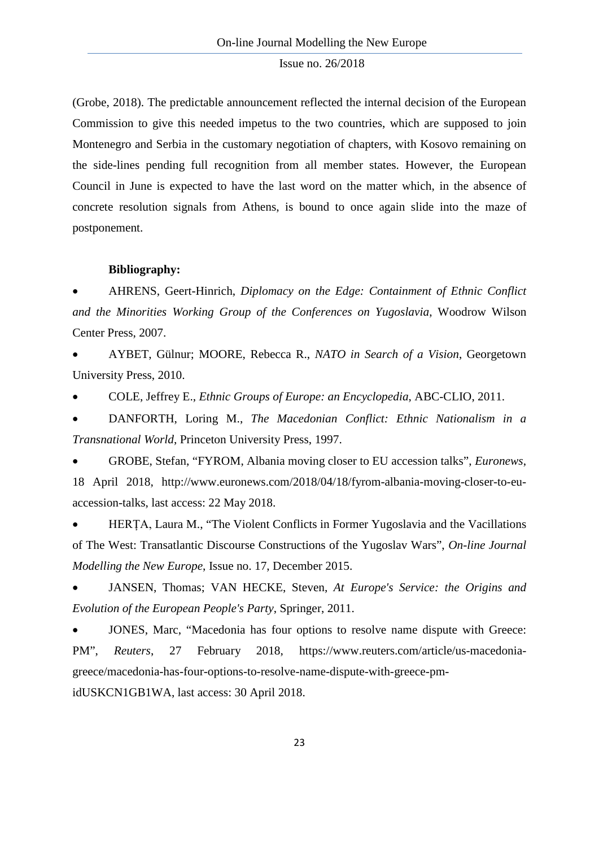(Grobe, 2018). The predictable announcement reflected the internal decision of the European Commission to give this needed impetus to the two countries, which are supposed to join Montenegro and Serbia in the customary negotiation of chapters, with Kosovo remaining on the side-lines pending full recognition from all member states. However, the European Council in June is expected to have the last word on the matter which, in the absence of concrete resolution signals from Athens, is bound to once again slide into the maze of postponement.

#### **Bibliography:**

• AHRENS, Geert-Hinrich, *Diplomacy on the Edge: Containment of Ethnic Conflict and the Minorities Working Group of the Conferences on Yugoslavia*, Woodrow Wilson Center Press, 2007.

• AYBET, Gülnur; MOORE, Rebecca R., *NATO in Search of a Vision*, Georgetown University Press, 2010.

• COLE, Jeffrey E., *Ethnic Groups of Europe: an Encyclopedia*, ABC-CLIO, 2011.

• DANFORTH, Loring M., *The Macedonian Conflict: Ethnic Nationalism in a Transnational World*, Princeton University Press, 1997.

• GROBE, Stefan, "FYROM, Albania moving closer to EU accession talks", *Euronews*, 18 April 2018, http://www.euronews.com/2018/04/18/fyrom-albania-moving-closer-to-euaccession-talks, last access: 22 May 2018.

• HERȚA, Laura M., "The Violent Conflicts in Former Yugoslavia and the Vacillations of The West: Transatlantic Discourse Constructions of the Yugoslav Wars", *On-line Journal Modelling the New Europe*, Issue no. 17, December 2015.

• JANSEN, Thomas; VAN HECKE, Steven, *At Europe's Service: the Origins and Evolution of the European People's Party*, Springer, 2011.

• JONES, Marc, "Macedonia has four options to resolve name dispute with Greece: PM", *Reuters*, 27 February 2018, https://www.reuters.com/article/us-macedoniagreece/macedonia-has-four-options-to-resolve-name-dispute-with-greece-pmidUSKCN1GB1WA, last access: 30 April 2018.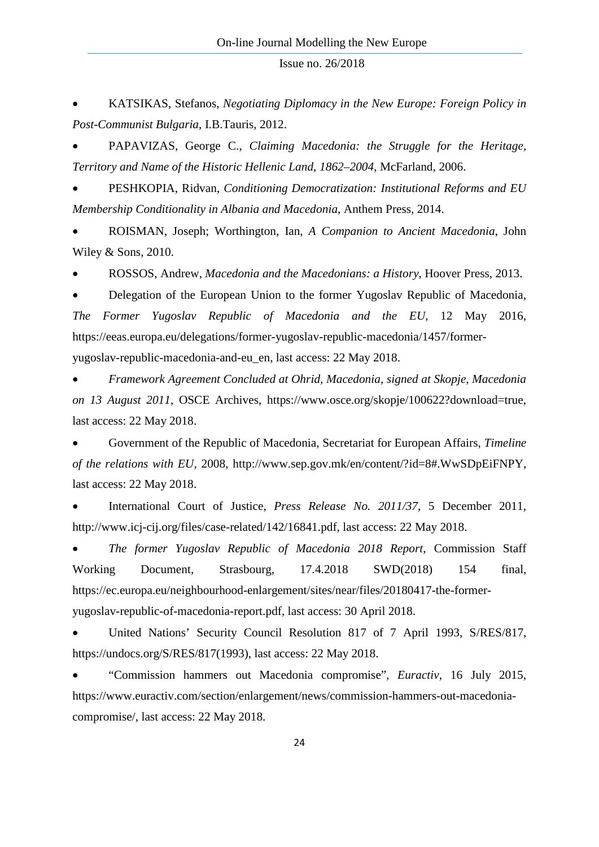• KATSIKAS, Stefanos, *Negotiating Diplomacy in the New Europe: Foreign Policy in Post-Communist Bulgaria*, I.B.Tauris, 2012.

• PAPAVIZAS, George C., *Claiming Macedonia: the Struggle for the Heritage, Territory and Name of the Historic Hellenic Land, 1862–2004*, McFarland, 2006.

• PESHKOPIA, Ridvan, *Conditioning Democratization: Institutional Reforms and EU Membership Conditionality in Albania and Macedonia*, Anthem Press, 2014.

• ROISMAN, Joseph; Worthington, Ian, *A Companion to Ancient Macedonia*, John Wiley & Sons, 2010.

• ROSSOS, Andrew, *Macedonia and the Macedonians: a History*, Hoover Press, 2013.

• Delegation of the European Union to the former Yugoslav Republic of Macedonia, *The Former Yugoslav Republic of Macedonia and the EU*, 12 May 2016, https://eeas.europa.eu/delegations/former-yugoslav-republic-macedonia/1457/formeryugoslav-republic-macedonia-and-eu\_en, last access: 22 May 2018.

• *Framework Agreement Concluded at Ohrid, Macedonia, signed at Skopje, Macedonia on 13 August 2011*, OSCE Archives, https://www.osce.org/skopje/100622?download=true, last access: 22 May 2018.

• Government of the Republic of Macedonia, Secretariat for European Affairs, *Timeline of the relations with EU*, 2008, http://www.sep.gov.mk/en/content/?id=8#.WwSDpEiFNPY, last access: 22 May 2018.

• International Court of Justice, *Press Release No. 2011/37*, 5 December 2011, http://www.icj-cij.org/files/case-related/142/16841.pdf, last access: 22 May 2018.

• *The former Yugoslav Republic of Macedonia 2018 Report*, Commission Staff Working Document, Strasbourg, 17.4.2018 SWD(2018) 154 final, https://ec.europa.eu/neighbourhood-enlargement/sites/near/files/20180417-the-formeryugoslav-republic-of-macedonia-report.pdf, last access: 30 April 2018.

• United Nations' Security Council Resolution 817 of 7 April 1993, S/RES/817, https://undocs.org/S/RES/817(1993), last access: 22 May 2018.

• "Commission hammers out Macedonia compromise", *Euractiv*, 16 July 2015, https://www.euractiv.com/section/enlargement/news/commission-hammers-out-macedoniacompromise/, last access: 22 May 2018.